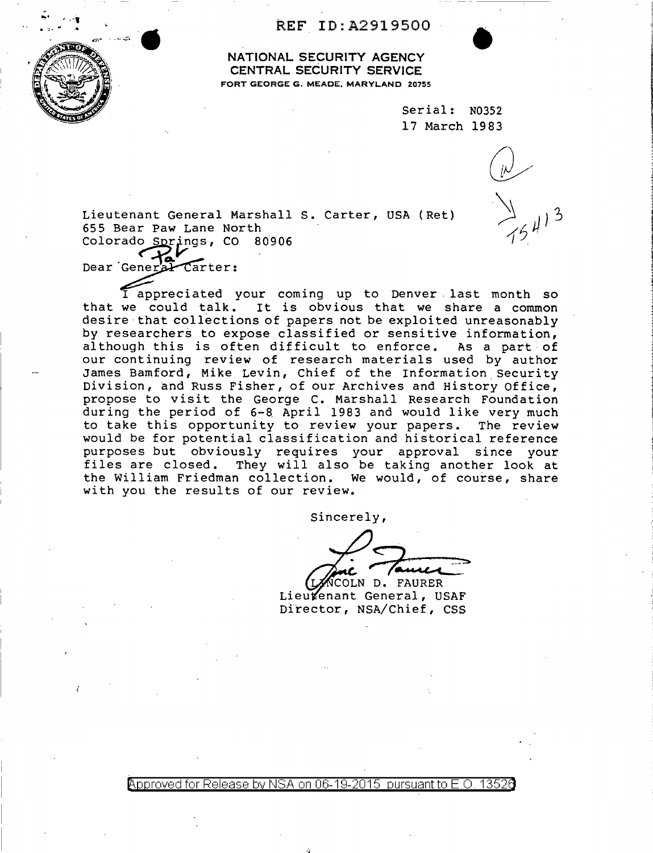REF ID:A2919500



.<br>.,. .,.,

NATIONAL SECURITY AGENCY CENTRAL SECURITY SERVICE FORT GEORGE G. MEADE, MARYLAND 20755

> Serial: N0352 17 March 1983

•

Lieutenant General Marshall s. Carter, USA (Ret) 655 Bear Paw Lane North Colorado Springs, CO 80906

Dear General Carter:

I appreciated your coming up to Denver . last month so that we could talk. It is obvious that we share a common desire· that collections of papers not be exploited unreasonably by researchers to expose classified or sensitive information, al though this is often difficult to enforce. As a part· of our continuing review of research materials used by author James Bamford, Mike Levin, Chief of the Information Security Division, and Russ Fisher, of our Archives and History Office, propose to visit the George C. Marshall Research Foundation during the period of 6-8 April 1983 and would like very much to take this opportunity to review your papers. The review would be for potential classification and historical reference purposes but obviously requires your approval since your files are closed. They will also be taking another look at the William Friedman collection. We would, of course, share with you the results of our review.

Sincerely,

OLN D. FAURER

Lieukenant General, USAF Director, NSA/Chief, css

 $\beta$ pproved for Release by NSA on 06-19-2015 pursuant to E.O.